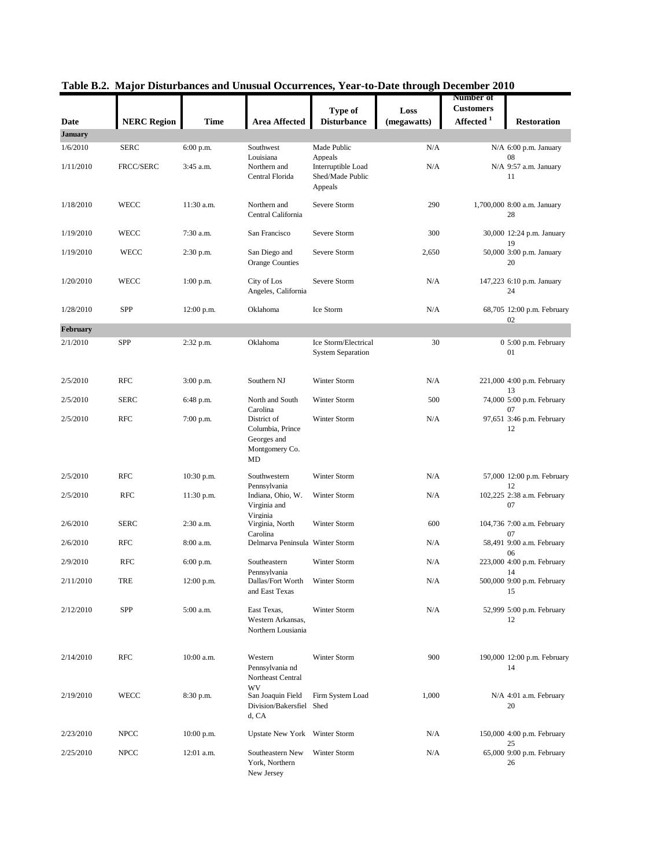|                 |                    |             |                                                                        | Table D.2. Major Disturbances and Unusual Occurrences, Tear-to-Date un ough December |             | 401 V                         |                                   |
|-----------------|--------------------|-------------|------------------------------------------------------------------------|--------------------------------------------------------------------------------------|-------------|-------------------------------|-----------------------------------|
|                 |                    |             |                                                                        | Type of                                                                              | Loss        | Number of<br><b>Customers</b> |                                   |
| Date            | <b>NERC Region</b> | <b>Time</b> | <b>Area Affected</b>                                                   | <b>Disturbance</b>                                                                   | (megawatts) | Affected $^{\rm 1}$           | <b>Restoration</b>                |
| <b>January</b>  |                    |             |                                                                        |                                                                                      |             |                               |                                   |
| 1/6/2010        | <b>SERC</b>        | 6:00 p.m.   | Southwest                                                              | Made Public                                                                          | N/A         |                               | N/A 6:00 p.m. January             |
| 1/11/2010       | FRCC/SERC          | 3:45 a.m.   | Louisiana<br>Northern and<br>Central Florida                           | Appeals<br>Interruptible Load<br>Shed/Made Public<br>Appeals                         | N/A         |                               | 08<br>N/A 9:57 a.m. January<br>11 |
| 1/18/2010       | WECC               | 11:30 a.m.  | Northern and<br>Central California                                     | Severe Storm                                                                         | 290         |                               | 1,700,000 8:00 a.m. January<br>28 |
| 1/19/2010       | WECC               | 7:30 a.m.   | San Francisco                                                          | Severe Storm                                                                         | 300         |                               | 30,000 12:24 p.m. January<br>19   |
| 1/19/2010       | WECC               | 2:30 p.m.   | San Diego and<br><b>Orange Counties</b>                                | Severe Storm                                                                         | 2,650       |                               | 50,000 3:00 p.m. January<br>20    |
| 1/20/2010       | WECC               | $1:00$ p.m. | City of Los<br>Angeles, California                                     | Severe Storm                                                                         | N/A         |                               | 147,223 6:10 p.m. January<br>24   |
| 1/28/2010       | SPP                | 12:00 p.m.  | Oklahoma                                                               | Ice Storm                                                                            | N/A         |                               | 68,705 12:00 p.m. February<br>02  |
| <b>February</b> |                    |             |                                                                        |                                                                                      |             |                               |                                   |
| 2/1/2010        | SPP                | 2:32 p.m.   | Oklahoma                                                               | Ice Storm/Electrical<br><b>System Separation</b>                                     | 30          |                               | 0 5:00 p.m. February<br>01        |
| 2/5/2010        | <b>RFC</b>         | 3:00 p.m.   | Southern NJ                                                            | Winter Storm                                                                         | N/A         |                               | 221,000 4:00 p.m. February<br>13  |
| 2/5/2010        | <b>SERC</b>        | 6:48 p.m.   | North and South<br>Carolina                                            | Winter Storm                                                                         | 500         |                               | 74,000 5:00 p.m. February<br>07   |
| 2/5/2010        | <b>RFC</b>         | 7:00 p.m.   | District of<br>Columbia, Prince<br>Georges and<br>Montgomery Co.<br>MD | Winter Storm                                                                         | N/A         |                               | 97,651 3:46 p.m. February<br>12   |
| 2/5/2010        | RFC                | 10:30 p.m.  | Southwestern<br>Pennsylvania                                           | Winter Storm                                                                         | N/A         |                               | 57,000 12:00 p.m. February<br>12  |
| 2/5/2010        | <b>RFC</b>         | 11:30 p.m.  | Indiana, Ohio, W.<br>Virginia and<br>Virginia                          | Winter Storm                                                                         | N/A         |                               | 102,225 2:38 a.m. February<br>07  |
| 2/6/2010        | <b>SERC</b>        | 2:30 a.m.   | Virginia, North<br>Carolina                                            | Winter Storm                                                                         | 600         |                               | 104,736 7:00 a.m. February<br>07  |
| 2/6/2010        | <b>RFC</b>         | 8:00 a.m.   | Delmarva Peninsula Winter Storm                                        |                                                                                      | N/A         |                               | 58,491 9:00 a.m. February<br>06   |
| 2/9/2010        | <b>RFC</b>         | 6:00 p.m.   | Southeastern<br>Pennsylvania                                           | Winter Storm                                                                         | N/A         |                               | 223,000 4:00 p.m. February<br>14  |
| 2/11/2010       | TRE                | 12:00 p.m.  | Dallas/Fort Worth<br>and East Texas                                    | Winter Storm                                                                         | N/A         |                               | 500,000 9:00 p.m. February<br>15  |
| 2/12/2010       | SPP                | 5:00 a.m.   | East Texas,<br>Western Arkansas,<br>Northern Lousiania                 | Winter Storm                                                                         | N/A         |                               | 52,999 5:00 p.m. February<br>12   |
| 2/14/2010       | <b>RFC</b>         | 10:00 a.m.  | Western<br>Pennsylvania nd<br>Northeast Central<br>WV                  | Winter Storm                                                                         | 900         |                               | 190,000 12:00 p.m. February<br>14 |
| 2/19/2010       | WECC               | 8:30 p.m.   | San Joaquin Field<br>Division/Bakersfiel Shed<br>d, CA                 | Firm System Load                                                                     | 1,000       |                               | N/A 4:01 a.m. February<br>20      |
| 2/23/2010       | <b>NPCC</b>        | 10:00 p.m.  | Upstate New York Winter Storm                                          |                                                                                      | N/A         |                               | 150,000 4:00 p.m. February<br>25  |
| 2/25/2010       | <b>NPCC</b>        | 12:01 a.m.  | Southeastern New<br>York, Northern<br>New Jersey                       | Winter Storm                                                                         | N/A         |                               | 65,000 9:00 p.m. February<br>26   |

## **Table B.2. Major Disturbances and Unusual Occurrences, Year-to-Date through December 2010**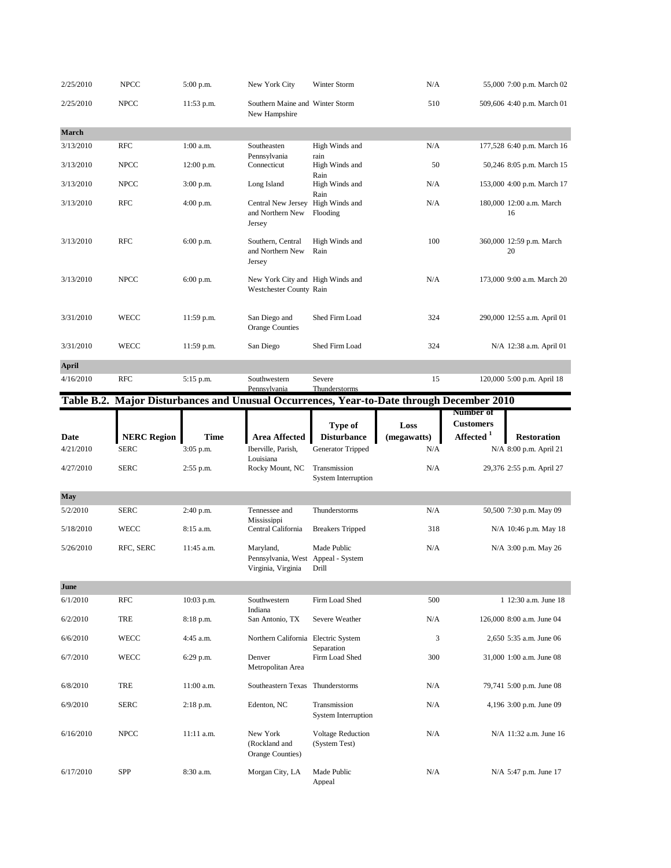| 2/25/2010    | <b>NPCC</b>        | 5:00 p.m.    | New York City                                                                             | Winter Storm                               | N/A         | 55,000 7:00 p.m. March 02           |
|--------------|--------------------|--------------|-------------------------------------------------------------------------------------------|--------------------------------------------|-------------|-------------------------------------|
| 2/25/2010    | <b>NPCC</b>        | 11:53 p.m.   | Southern Maine and Winter Storm<br>New Hampshire                                          |                                            | 510         | 509,606 4:40 p.m. March 01          |
| March        |                    |              |                                                                                           |                                            |             |                                     |
| 3/13/2010    | <b>RFC</b>         | $1:00$ a.m.  | Southeasten<br>Pennsylvania                                                               | High Winds and<br>rain                     | N/A         | 177,528 6:40 p.m. March 16          |
| 3/13/2010    | <b>NPCC</b>        | $12:00$ p.m. | Connecticut                                                                               | High Winds and<br>Rain                     | 50          | 50,246 8:05 p.m. March 15           |
| 3/13/2010    | <b>NPCC</b>        | 3:00 p.m.    | Long Island                                                                               | High Winds and<br>Rain                     | N/A         | 153,000 4:00 p.m. March 17          |
| 3/13/2010    | <b>RFC</b>         | $4:00$ p.m.  | <b>Central New Jersey</b><br>and Northern New<br>Jersey                                   | High Winds and<br>Flooding                 | N/A         | 180,000 12:00 a.m. March<br>16      |
| 3/13/2010    | <b>RFC</b>         | 6:00 p.m.    | Southern, Central<br>and Northern New<br>Jersey                                           | High Winds and<br>Rain                     | 100         | 360,000 12:59 p.m. March<br>20      |
| 3/13/2010    | <b>NPCC</b>        | 6:00 p.m.    | New York City and High Winds and<br>Westchester County Rain                               |                                            | N/A         | 173,000 9:00 a.m. March 20          |
| 3/31/2010    | <b>WECC</b>        | 11:59 p.m.   | San Diego and<br><b>Orange Counties</b>                                                   | Shed Firm Load                             | 324         | 290,000 12:55 a.m. April 01         |
| 3/31/2010    | WECC               | 11:59 p.m.   | San Diego                                                                                 | Shed Firm Load                             | 324         | N/A 12:38 a.m. April 01             |
| <b>April</b> |                    |              |                                                                                           |                                            |             |                                     |
| 4/16/2010    | <b>RFC</b>         | 5:15 p.m.    | Southwestern<br>Pennsylvania                                                              | Severe<br>Thunderstorms                    | 15          | 120,000 5:00 p.m. April 18          |
|              |                    |              | Table B.2. Major Disturbances and Unusual Occurrences, Year-to-Date through December 2010 |                                            |             |                                     |
|              |                    |              |                                                                                           |                                            |             | Number of                           |
|              |                    |              |                                                                                           | Type of                                    | Loss        | <b>Customers</b>                    |
| Date         | <b>NERC Region</b> | <b>Time</b>  | <b>Area Affected</b>                                                                      | <b>Disturbance</b>                         | (megawatts) | Affected $^1$<br><b>Restoration</b> |
| 4/21/2010    | <b>SERC</b>        | 3:05 p.m.    | Iberville, Parish,<br>Louisiana                                                           | Generator Tripped                          | N/A         | N/A 8:00 p.m. April 21              |
| 4/27/2010    | <b>SERC</b>        | $2:55$ p.m.  | Rocky Mount, NC                                                                           | Transmission<br><b>System Interruption</b> | N/A         | 29,376 2:55 p.m. April 27           |
| May          |                    |              |                                                                                           |                                            |             |                                     |
| 5/2/2010     | <b>SERC</b>        | 2:40 p.m.    | Tennessee and<br>Mississippi                                                              | Thunderstorms                              | N/A         | 50,500 7:30 p.m. May 09             |
| 5/18/2010    | <b>WECC</b>        | 8:15 a.m.    | Central California                                                                        | <b>Breakers Tripped</b>                    | 318         | N/A 10:46 p.m. May 18               |
| 5/26/2010    | RFC, SERC          | 11:45 a.m.   | Maryland,<br>Pennsylvania, West<br>Virginia, Virginia                                     | Made Public<br>Appeal - System<br>Drill    | N/A         | N/A 3:00 p.m. May 26                |
| June         |                    |              |                                                                                           |                                            |             |                                     |
| 6/1/2010     | <b>RFC</b>         | $10:03$ p.m. | Southwestern<br>Indiana                                                                   | Firm Load Shed                             | 500         | 1 12:30 a.m. June 18                |
| 6/2/2010     | <b>TRE</b>         | 8:18 p.m.    | San Antonio, TX                                                                           | Severe Weather                             | N/A         | 126,000 8:00 a.m. June 04           |

| 6/2/2010  | TRE         | $8:18$ p.m.  | San Antonio, TX                               | Severe Weather                             | N/A | 126,000 8:00 a.m. June 04 |
|-----------|-------------|--------------|-----------------------------------------------|--------------------------------------------|-----|---------------------------|
| 6/6/2010  | <b>WECC</b> | $4:45$ a.m.  | Northern California Electric System           |                                            | 3   | 2,650 5:35 a.m. June 06   |
| 6/7/2010  | WECC        | 6:29 p.m.    | Denver<br>Metropolitan Area                   | Separation<br>Firm Load Shed               | 300 | 31,000 1:00 a.m. June 08  |
| 6/8/2010  | <b>TRE</b>  | $11:00$ a.m. | Southeastern Texas Thunderstorms              |                                            | N/A | 79,741 5:00 p.m. June 08  |
| 6/9/2010  | <b>SERC</b> | $2:18$ p.m.  | Edenton, NC                                   | Transmission<br><b>System Interruption</b> | N/A | 4,196 3:00 p.m. June 09   |
| 6/16/2010 | <b>NPCC</b> | $11:11$ a.m. | New York<br>(Rockland and<br>Orange Counties) | <b>Voltage Reduction</b><br>(System Test)  | N/A | N/A 11:32 a.m. June 16    |
| 6/17/2010 | <b>SPP</b>  | $8:30$ a.m.  | Morgan City, LA                               | Made Public<br>Appeal                      | N/A | N/A 5:47 p.m. June 17     |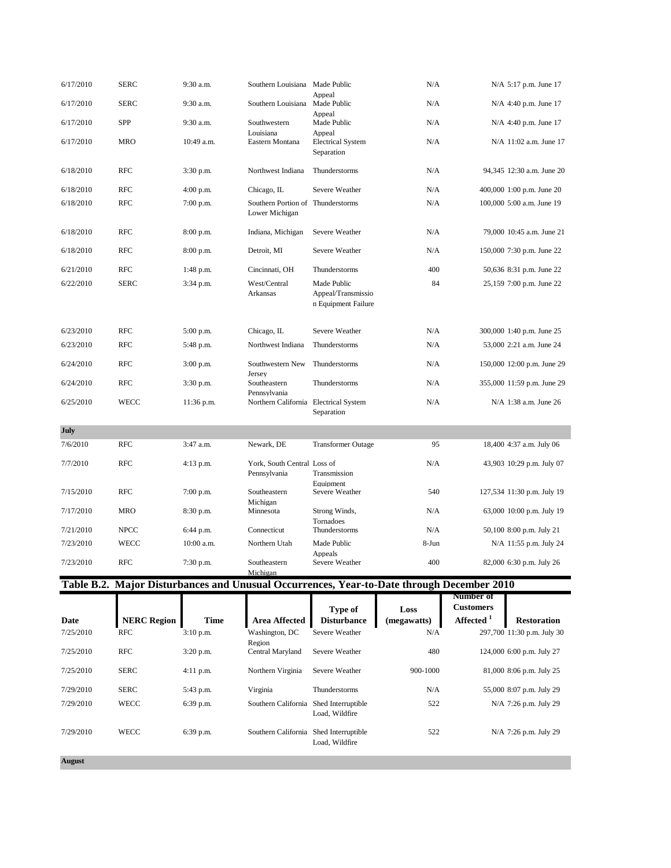| 6/17/2010 | <b>SERC</b>        | 9:30 a.m.   | Southern Louisiana Made Public                        |                                                          | N/A                                                                                       | N/A 5:17 p.m. June 17                              |
|-----------|--------------------|-------------|-------------------------------------------------------|----------------------------------------------------------|-------------------------------------------------------------------------------------------|----------------------------------------------------|
| 6/17/2010 | <b>SERC</b>        | 9:30 a.m.   | Southern Louisiana                                    | Appeal<br>Made Public<br>Appeal                          | N/A                                                                                       | N/A 4:40 p.m. June 17                              |
| 6/17/2010 | <b>SPP</b>         | 9:30 a.m.   | Southwestern                                          | Made Public                                              | N/A                                                                                       | $N/A$ 4:40 p.m. June 17                            |
| 6/17/2010 | <b>MRO</b>         | 10:49 a.m.  | Louisiana<br>Eastern Montana                          | Appeal<br><b>Electrical System</b><br>Separation         | N/A                                                                                       | N/A 11:02 a.m. June 17                             |
| 6/18/2010 | <b>RFC</b>         | 3:30 p.m.   | Northwest Indiana                                     | Thunderstorms                                            | N/A                                                                                       | 94,345 12:30 a.m. June 20                          |
| 6/18/2010 | <b>RFC</b>         | 4:00 p.m.   | Chicago, IL                                           | Severe Weather                                           | N/A                                                                                       | 400,000 1:00 p.m. June 20                          |
| 6/18/2010 | <b>RFC</b>         | 7:00 p.m.   | Southern Portion of Thunderstorms<br>Lower Michigan   |                                                          | N/A                                                                                       | 100,000 5:00 a.m. June 19                          |
| 6/18/2010 | <b>RFC</b>         | 8:00 p.m.   | Indiana, Michigan                                     | Severe Weather                                           | N/A                                                                                       | 79,000 10:45 a.m. June 21                          |
| 6/18/2010 | <b>RFC</b>         | $8:00$ p.m. | Detroit, MI                                           | Severe Weather                                           | N/A                                                                                       | 150,000 7:30 p.m. June 22                          |
| 6/21/2010 | <b>RFC</b>         | 1:48 p.m.   | Cincinnati, OH                                        | Thunderstorms                                            | 400                                                                                       | 50,636 8:31 p.m. June 22                           |
| 6/22/2010 | <b>SERC</b>        | 3:34 p.m.   | West/Central<br>Arkansas                              | Made Public<br>Appeal/Transmissio<br>n Equipment Failure | 84                                                                                        | 25,159 7:00 p.m. June 22                           |
| 6/23/2010 | <b>RFC</b>         | 5:00 p.m.   | Chicago, IL                                           | Severe Weather                                           | N/A                                                                                       | 300,000 1:40 p.m. June 25                          |
| 6/23/2010 | <b>RFC</b>         | 5:48 p.m.   | Northwest Indiana                                     | Thunderstorms                                            | N/A                                                                                       | 53,000 2:21 a.m. June 24                           |
| 6/24/2010 | <b>RFC</b>         | 3:00 p.m.   | Southwestern New<br>Jersey                            | Thunderstorms                                            | N/A                                                                                       | 150,000 12:00 p.m. June 29                         |
| 6/24/2010 | <b>RFC</b>         | 3:30 p.m.   | Southeastern                                          | Thunderstorms                                            | N/A                                                                                       | 355,000 11:59 p.m. June 29                         |
| 6/25/2010 | <b>WECC</b>        | 11:36 p.m.  | Pennsylvania<br>Northern California Electrical System | Separation                                               | N/A                                                                                       | N/A 1:38 a.m. June 26                              |
| July      |                    |             |                                                       |                                                          |                                                                                           |                                                    |
| 7/6/2010  | <b>RFC</b>         | 3:47 a.m.   | Newark, DE                                            | <b>Transformer Outage</b>                                | 95                                                                                        | 18,400 4:37 a.m. July 06                           |
| 7/7/2010  | <b>RFC</b>         | 4:13 p.m.   | York, South Central Loss of<br>Pennsylvania           | Transmission                                             | N/A                                                                                       | 43,903 10:29 p.m. July 07                          |
| 7/15/2010 |                    |             |                                                       | Equipment                                                |                                                                                           |                                                    |
|           | <b>RFC</b>         | $7:00$ p.m. | Southeastern                                          | Severe Weather                                           | 540                                                                                       | 127,534 11:30 p.m. July 19                         |
| 7/17/2010 | <b>MRO</b>         | 8:30 p.m.   | Michigan<br>Minnesota                                 | Strong Winds,                                            | N/A                                                                                       | 63,000 10:00 p.m. July 19                          |
| 7/21/2010 | <b>NPCC</b>        | 6:44 p.m.   | Connecticut                                           | Tornadoes<br>Thunderstorms                               | N/A                                                                                       |                                                    |
| 7/23/2010 | WECC               | 10:00 a.m.  | Northern Utah                                         | Made Public                                              | 8-Jun                                                                                     | 50,100 8:00 p.m. July 21<br>N/A 11:55 p.m. July 24 |
| 7/23/2010 | <b>RFC</b>         | 7:30 p.m.   | Southeastern                                          | Appeals<br>Severe Weather                                | 400                                                                                       | 82,000 6:30 p.m. July 26                           |
|           |                    |             | Michigan                                              |                                                          |                                                                                           |                                                    |
|           |                    |             |                                                       |                                                          | Table B.2. Major Disturbances and Unusual Occurrences, Year-to-Date through December 2010 | Number of                                          |
|           |                    |             |                                                       | Type of                                                  | Loss                                                                                      | <b>Customers</b>                                   |
| Date      | <b>NERC Region</b> | <b>Time</b> | <b>Area Affected</b>                                  | <b>Disturbance</b>                                       | (megawatts)                                                                               | Affected <sup>1</sup><br><b>Restoration</b>        |
| 7/25/2010 | RFC                | 3:10 p.m.   | Washington, DC<br>Region                              | Severe Weather                                           | N/A                                                                                       | 297,700 11:30 p.m. July 30                         |
| 7/25/2010 | <b>RFC</b>         | $3:20$ p.m. | Central Maryland                                      | Severe Weather                                           | 480                                                                                       | 124,000 6:00 p.m. July 27                          |
| 7/25/2010 | <b>SERC</b>        | $4:11$ p.m. | Northern Virginia                                     | Severe Weather                                           | 900-1000                                                                                  | 81,000 8:06 p.m. July 25                           |
| 7/29/2010 | <b>SERC</b>        | 5:43 p.m.   | Virginia                                              | Thunderstorms                                            | N/A                                                                                       | 55,000 8:07 p.m. July 29                           |
| 7/29/2010 | WECC               | 6:39 p.m.   | Southern California Shed Interruptible                | Load, Wildfire                                           | 522                                                                                       | N/A 7:26 p.m. July 29                              |

**August**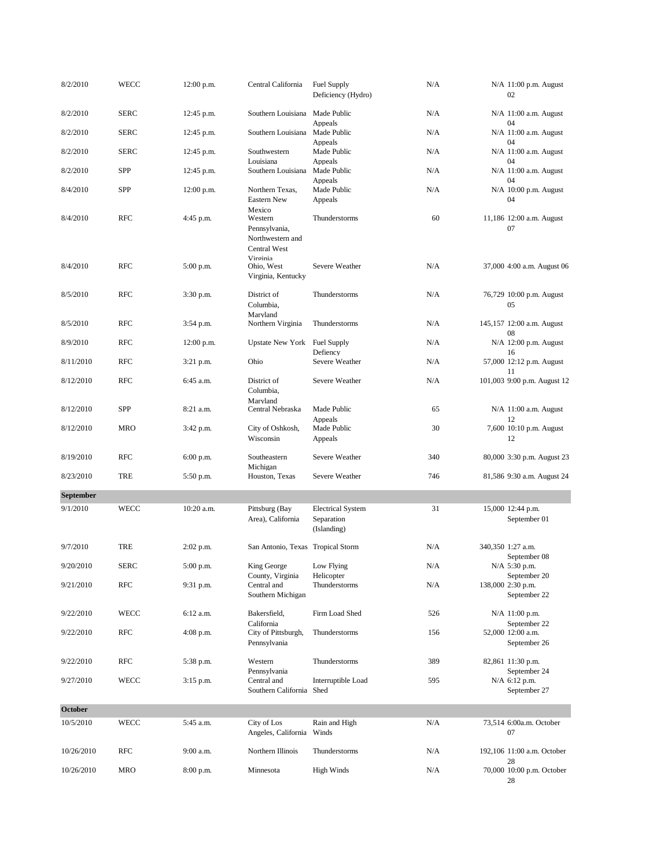| 8/2/2010   | <b>WECC</b> | 12:00 p.m.   | Central California                                                     | <b>Fuel Supply</b><br>Deficiency (Hydro)              | N/A | $N/A$ 11:00 p.m. August<br>02                     |
|------------|-------------|--------------|------------------------------------------------------------------------|-------------------------------------------------------|-----|---------------------------------------------------|
| 8/2/2010   | <b>SERC</b> | 12:45 p.m.   | Southern Louisiana Made Public                                         | Appeals                                               | N/A | $N/A$ 11:00 a.m. August<br>04                     |
| 8/2/2010   | <b>SERC</b> | 12:45 p.m.   | Southern Louisiana Made Public                                         |                                                       | N/A | $N/A$ 11:00 a.m. August                           |
| 8/2/2010   | <b>SERC</b> | 12:45 p.m.   | Southwestern<br>Louisiana                                              | Appeals<br>Made Public<br>Appeals                     | N/A | 04<br>$N/A$ 11:00 a.m. August<br>04               |
| 8/2/2010   | SPP         | 12:45 p.m.   | Southern Louisiana                                                     | Made Public                                           | N/A | $N/A$ 11:00 a.m. August<br>04                     |
| 8/4/2010   | <b>SPP</b>  | $12:00$ p.m. | Northern Texas,<br>Eastern New                                         | Appeals<br>Made Public<br>Appeals                     | N/A | N/A 10:00 p.m. August<br>04                       |
| 8/4/2010   | <b>RFC</b>  | 4:45 p.m.    | Mexico<br>Western<br>Pennsylvania,<br>Northwestern and<br>Central West | Thunderstorms                                         | 60  | 11,186 12:00 a.m. August<br>07                    |
| 8/4/2010   | <b>RFC</b>  | 5:00 p.m.    | Viroinia<br>Ohio, West<br>Virginia, Kentucky                           | Severe Weather                                        | N/A | 37,000 4:00 a.m. August 06                        |
| 8/5/2010   | <b>RFC</b>  | 3:30 p.m.    | District of<br>Columbia,                                               | Thunderstorms                                         | N/A | 76,729 10:00 p.m. August<br>05                    |
| 8/5/2010   | <b>RFC</b>  | 3:54 p.m.    | Marvland<br>Northern Virginia                                          | Thunderstorms                                         | N/A | 145,157 12:00 a.m. August<br>08                   |
| 8/9/2010   | <b>RFC</b>  | $12:00$ p.m. | <b>Upstate New York</b>                                                | Fuel Supply<br>Defiency                               | N/A | $N/A$ 12:00 p.m. August<br>16                     |
| 8/11/2010  | <b>RFC</b>  | 3:21 p.m.    | Ohio                                                                   | Severe Weather                                        | N/A | 57,000 12:12 p.m. August<br>11                    |
| 8/12/2010  | <b>RFC</b>  | 6:45 a.m.    | District of<br>Columbia,                                               | Severe Weather                                        | N/A | 101,003 9:00 p.m. August 12                       |
| 8/12/2010  | <b>SPP</b>  | 8:21 a.m.    | Marvland<br>Central Nebraska                                           | Made Public                                           | 65  | $N/A$ 11:00 a.m. August                           |
| 8/12/2010  | <b>MRO</b>  | 3:42 p.m.    | City of Oshkosh,<br>Wisconsin                                          | Appeals<br>Made Public<br>Appeals                     | 30  | 12<br>7,600 10:10 p.m. August<br>12               |
| 8/19/2010  | <b>RFC</b>  | $6:00$ p.m.  | Southeastern                                                           | Severe Weather                                        | 340 | 80,000 3:30 p.m. August 23                        |
| 8/23/2010  | <b>TRE</b>  | 5:50 p.m.    | Michigan<br>Houston, Texas                                             | Severe Weather                                        | 746 | 81,586 9:30 a.m. August 24                        |
| September  |             |              |                                                                        |                                                       |     |                                                   |
| 9/1/2010   | <b>WECC</b> | 10:20 a.m.   | Pittsburg (Bay<br>Area), California                                    | <b>Electrical System</b><br>Separation<br>(Islanding) | 31  | 15,000 12:44 p.m.<br>September 01                 |
| 9/7/2010   | <b>TRE</b>  | $2:02$ p.m.  | San Antonio, Texas Tropical Storm                                      |                                                       | N/A | 340,350 1:27 a.m.<br>September 08                 |
| 9/20/2010  | <b>SERC</b> | 5:00 p.m.    | King George<br>County, Virginia                                        | Low Flying<br>Helicopter                              | N/A | $N/A$ 5:30 p.m.<br>September 20                   |
| 9/21/2010  | <b>RFC</b>  | 9:31 p.m.    | Central and<br>Southern Michigan                                       | Thunderstorms                                         | N/A | 138,000 2:30 p.m.<br>September 22                 |
| 9/22/2010  | <b>WECC</b> | 6:12 a.m.    | Bakersfield,                                                           | Firm Load Shed                                        | 526 | N/A 11:00 p.m.                                    |
| 9/22/2010  | RFC         | 4:08 p.m.    | California<br>City of Pittsburgh,<br>Pennsylvania                      | Thunderstorms                                         | 156 | September 22<br>52,000 12:00 a.m.<br>September 26 |
| 9/22/2010  | RFC         | 5:38 p.m.    | Western                                                                | Thunderstorms                                         | 389 | 82,861 11:30 p.m.                                 |
| 9/27/2010  | WECC        | $3:15$ p.m.  | Pennsylvania<br>Central and<br>Southern California Shed                | Interruptible Load                                    | 595 | September 24<br>$N/A$ 6:12 p.m.<br>September 27   |
| October    |             |              |                                                                        |                                                       |     |                                                   |
| 10/5/2010  | <b>WECC</b> | 5:45 a.m.    | City of Los<br>Angeles, California Winds                               | Rain and High                                         | N/A | 73,514 6:00a.m. October<br>07                     |
| 10/26/2010 | RFC         | 9:00 a.m.    | Northern Illinois                                                      | Thunderstorms                                         | N/A | 192,106 11:00 a.m. October                        |
| 10/26/2010 | <b>MRO</b>  | 8:00 p.m.    | Minnesota                                                              | <b>High Winds</b>                                     | N/A | 28<br>70,000 10:00 p.m. October<br>28             |